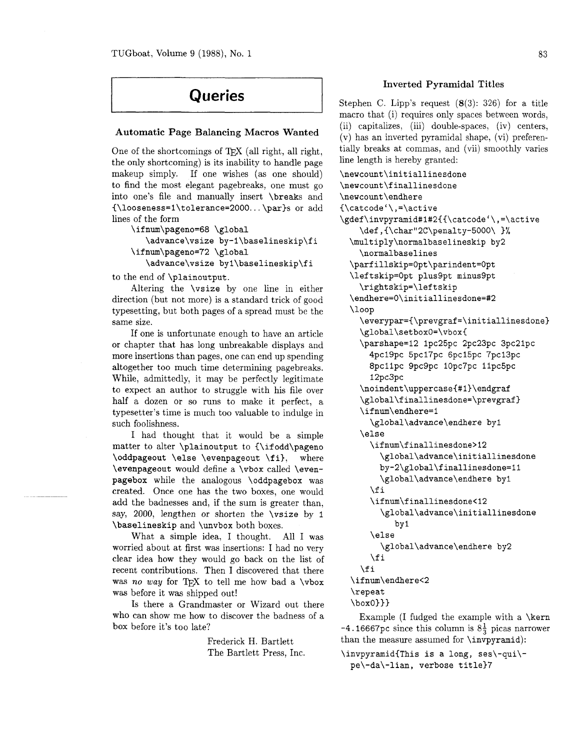# **Queries**

## **Automatic Page Balancing Macros Wanted**

One of the shortcomings of  $Tr[X]$  (all right, all right, the only shortcoming) is its inability to handle page makeup simply. If one wishes (as one should) to find the most elegant pagebreaks, one must go into one's file and manually insert **\breaks** and **~\looseness=1\tolerance=2000..** . **\par)s** or add lines of the form

```
\ifnum\pageno=68 \global 
   \advance\vsize by-l\baselineskip\fi 
\ifnum\pageno=72 \global 
   \advance\vsize byl\baselineskip\fi
```
to the end of **\plainoutput.** 

--- -

Altering the **\vsize** by one line in either direction (but not more) is a standard trick of good typesetting, but both pages of a spread must be the same size.

If one is unfortunate enough to have an article or chapter that has long unbreakable displays and more insertions than pages, one can end up spending altogether too much time determining pagebreaks. While, admittedly, it may be perfectly legitimate to expect an author to struggle with his file over half a dozen or so runs to make it perfect, a typesetter's time is much too valuable to indulge in such foolishness.

I had thought that it would be a simple matter to alter **\plainoutput** to **(\if odd\pageno \oddpageout \else \evenpageout \f i),** where **\evenpageout** would define a **\vbox** called **\evenpagebox** while the analogous **\oddpagebox** was created. Once one has the two boxes, one would add the badnesses and, if the sum is greater than, say, 2000, lengthen or shorten the **\vsize** by **1 \baselineskip** and **\unvbox** both boxes.

What a simple idea. I thought. All I was worried about at first was insertions: I had no very clear idea how they would go back on the list of recent contributions. Then I discovered that there was no way for  $Tr[X]$  to tell me how bad a  $\forall$ box was before it was shipped out!

Is there a Grandmaster or Wizard out there who can show me how to discover the badness of a box before it's too late?

> Frederick H. Bartlett The Bartlett Press, Inc.

## **Inverted Pyramidal Titles**

Stephen C. Lipp's request  $(8(3): 326)$  for a title macro that (i) requires only spaces between words, (ii) capitalizes, (iii) double-spaces, (iv) centers, (v) has an inverted pyramidal shape, (vi) preferentially breaks at commas, and (vii) smoothly varies line length is hereby granted:

```
\newcount\initiallinesdone 
\newcount\finallinesdone 
\newcount\endhere 
(\catcode'\,=\active 
\gdef\invpyramid#1#2{{\catcode'\,=\active
    \def,{\char"2C\penalty-5000\ 3% 
  \multiply\normalbaselineskip by2 
    \normalbaselines 
  \parfillskip=Opt\parindent=Opt 
  \leftskip=Opt plus9pt minus9pt 
    \rightskip=\lef tskip 
  \endhere=O\initiallinesdone=#2 
  \loop 
    \everypar=(\prevgraf=\initiallinesdone) 
    \global\setboxO=\vboxC 
    \parshape=12 lpc25pc 2pc23pc 3pc21pc 
      4pc19pc 5pc17pc 6pc15pc 7pc13pc 
      8pcllpc 9pc9pc 1Opc7pc 11pc5pc 
      12pc3pc 
    \noindent\uppercase{#l}\endgraf 
    \global\finallinesdone=\prevgraf) 
    \ifnum\endhere=l 
      \global\advance\endhere by1 
    \else 
      \ifnum\finallinesdone>12 
        \global\advance\initiallinesdone 
        by-2\global\finallinesdone=ll 
        \global\advance\endhere by1 
      \f i 
      \ifnum\finallinesdone<l2 
        \global\advance\initiallinesdone 
            by 1 
      \else 
        \global\advance\endhere by2 
      \f i 
    \f i 
  \ifnum\endhere<2 
  \repeat
```
**\boxO)))** 

Example (I fudged the example with a **\kern**   $-4.16667pc$  since this column is  $8\frac{1}{3}$  picas narrower than the measure assumed for **\invpyramid):** 

```
\invpyramidiThis is a long, ses\-qui\- 
 pe\-da\-lian, verbose title37
```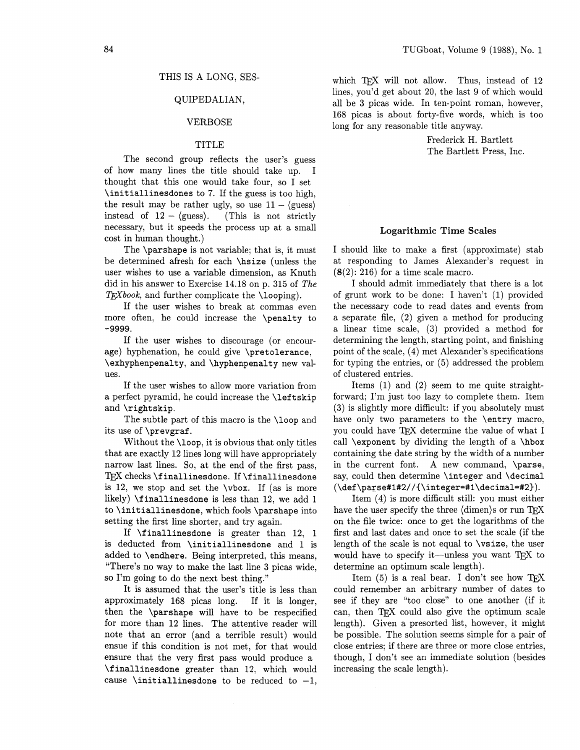## THIS IS A LONG. SES-

## QUIPEDALIAN,

## VERBOSE

#### TITLE

The second group reflects the user's guess of how many lines the title should take up. I thought that this one would take four, so I set \initiallinesdones to 7. If the guess is too high, the result may be rather ugly, so use  $11 - \langle \text{guess} \rangle$ the result may be rather ugly, so use  $11 - \langle \text{guess} \rangle$ <br>instead of  $12 - \langle \text{guess} \rangle$ . (This is not strictly necessary, but it speeds the process up at a small cost in human thought.)

The \parshape is not variable; that is, it must be determined afresh for each \hsize (unless the user wishes to use a variable dimension, as Knuth did in his answer to Exercise 14.18 on p. 315 of The  $T_F X book$ , and further complicate the \looping).

If the user wishes to break at commas even more often, he could increase the \penalty to **-9999.** 

If the user wishes to discourage (or encourage) hyphenation, he could give \pretolerance, \exhyphenpenalty, and \hyphenpenalty new values.

If the user wishes to allow more variation from a perfect pyramid, he could increase the \left skip and \rightskip.

The subtle part of this macro is the \loop and its use of \prevgraf.

Without the **\loop**, it is obvious that only titles that are exactly 12 lines long will have appropriately narrow last lines. So, at the end of the first pass,  $TeX$  checks  $\finalline$ sdone. If  $\finalline$ sdone is 12, we stop and set the \vbox. If (as is more likely) \finallinesdone is less than 12, we add 1 to \initiallinesdone, which fools \parshape into setting the first line shorter, and try again.

If \finallinesdone is greater than 12, 1 is deducted from \initiallinesdone and 1 is added to \endhere. Being interpreted, this means, "There's no way to make the last line 3 picas wide, so I'm going to do the next best thing."

It is assumed that the user's title is less than approximately 168 picas long. If it is longer, then the \parshape will have to be respecified for more than 12 lines. The attentive reader will note that an error (and a terrible result) would ensue if this condition is not met, for that would ensure that the very first pass would produce a \f inallinesdone greater than 12, which would cause \initiallinesdone to be reduced to  $-1$ ,

which  $TrX$  will not allow. Thus, instead of  $12$ lines, you'd get about 20, the last 9 of which would all be 3 picas wide. In ten-point roman, however, 168 picas is about forty-five words, which is too long for any reasonable title anyway.

> Frederick H. Bartlett The Bartlett Press, Inc.

#### **Logarithmic Time Scales**

I should like to make a first (approximate) stab at responding to James Alexander's request in  $(8(2): 216)$  for a time scale macro.

I should admit immediately that there is a lot of grunt work to be done: I haven't (1) provided the necessary code to read dates and events from a separate file, (2) given a method for producing a linear time scale, (3) provided a method for determining the length, starting point, and finishing point of the scale, (4) met Alexander's specifications for typing the entries, or **(5)** addressed the problem of clustered entries.

Items (1) and (2) seem to me quite straightforward; I'm just too lazy to complete them. Item (3) is slightly more difficult: if you absolutely must have only two parameters to the **\entry** macro, you could have TFX determine the value of what I call \exponent by dividing the length of a \hbox containing the date string by the width of a number in the current font. A new command, \parse, say, could then determine \integer and \decimal (\def **\parse#l#2//{\integer=#l\decimal=#2)).** 

Item (4) is more difficult still: you must either have the user specify the three  $\langle$  dimen $\rangle$ s or run T<sub>F</sub>X on the file twice: once to get the logarithms of the first and last dates and once to set the scale (if the length of the scale is not equal to \vsize, the user would have to specify it—unless you want  $T_{F}X$  to determine an optimum scale length).

Item  $(5)$  is a real bear. I don't see how TFX could remember an arbitrary number of dates to see if they are "too close" to one another (if it can, then TEX could also give the optimum scale length). Given a presorted list, however, it might be possible. The solution seems simple for a pair of close entries; if there are three or more close entries, though, I don't see an immediate solution (besides increasing the scale length).